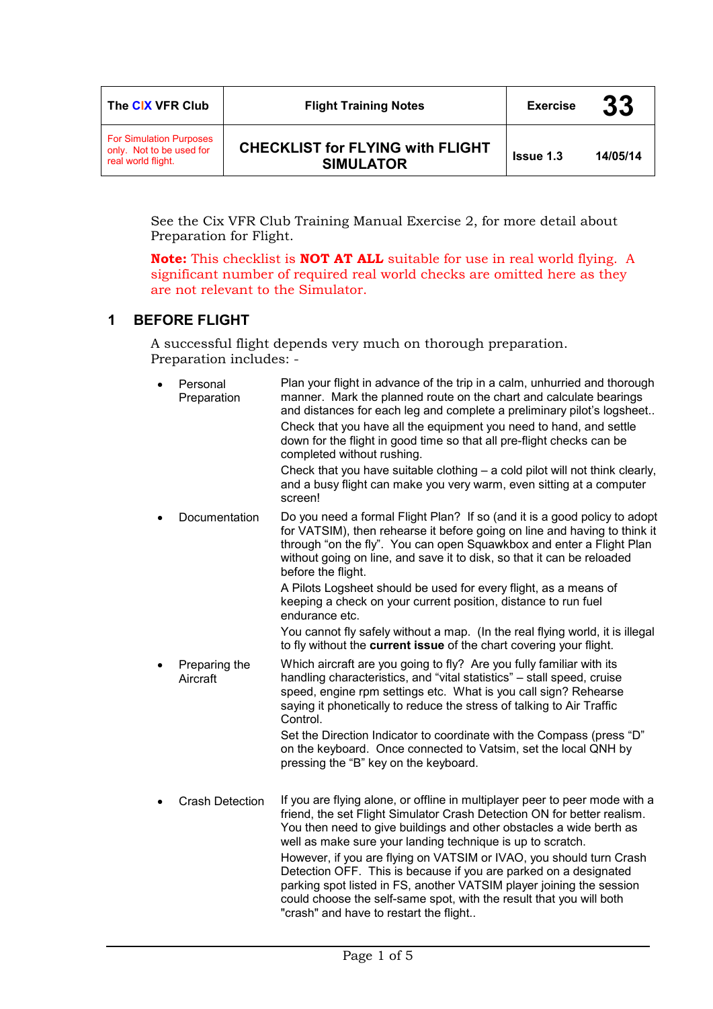| The CIX VFR Club                                                                 | <b>Flight Training Notes</b>                                | <b>Exercise</b>  | 33       |
|----------------------------------------------------------------------------------|-------------------------------------------------------------|------------------|----------|
| <b>For Simulation Purposes</b><br>only. Not to be used for<br>real world flight. | <b>CHECKLIST for FLYING with FLIGHT</b><br><b>SIMULATOR</b> | <b>Issue 1.3</b> | 14/05/14 |

See the Cix VFR Club Training Manual Exercise 2, for more detail about Preparation for Flight.

**Note:** This checklist is **NOT AT ALL** suitable for use in real world flying. A significant number of required real world checks are omitted here as they are not relevant to the Simulator.

### **1 BEFORE FLIGHT**

A successful flight depends very much on thorough preparation. Preparation includes: -

| Personal<br>Preparation   | Plan your flight in advance of the trip in a calm, unhurried and thorough<br>manner. Mark the planned route on the chart and calculate bearings<br>and distances for each leg and complete a preliminary pilot's logsheet<br>Check that you have all the equipment you need to hand, and settle<br>down for the flight in good time so that all pre-flight checks can be<br>completed without rushing.<br>Check that you have suitable clothing $-$ a cold pilot will not think clearly,<br>and a busy flight can make you very warm, even sitting at a computer<br>screen!                                                     |
|---------------------------|---------------------------------------------------------------------------------------------------------------------------------------------------------------------------------------------------------------------------------------------------------------------------------------------------------------------------------------------------------------------------------------------------------------------------------------------------------------------------------------------------------------------------------------------------------------------------------------------------------------------------------|
| Documentation             | Do you need a formal Flight Plan? If so (and it is a good policy to adopt<br>for VATSIM), then rehearse it before going on line and having to think it<br>through "on the fly". You can open Squawkbox and enter a Flight Plan<br>without going on line, and save it to disk, so that it can be reloaded<br>before the flight.<br>A Pilots Logsheet should be used for every flight, as a means of<br>keeping a check on your current position, distance to run fuel<br>endurance etc.                                                                                                                                          |
|                           | You cannot fly safely without a map. (In the real flying world, it is illegal<br>to fly without the current issue of the chart covering your flight.                                                                                                                                                                                                                                                                                                                                                                                                                                                                            |
| Preparing the<br>Aircraft | Which aircraft are you going to fly? Are you fully familiar with its<br>handling characteristics, and "vital statistics" - stall speed, cruise<br>speed, engine rpm settings etc. What is you call sign? Rehearse<br>saying it phonetically to reduce the stress of talking to Air Traffic<br>Control.                                                                                                                                                                                                                                                                                                                          |
|                           | Set the Direction Indicator to coordinate with the Compass (press "D"<br>on the keyboard. Once connected to Vatsim, set the local QNH by<br>pressing the "B" key on the keyboard.                                                                                                                                                                                                                                                                                                                                                                                                                                               |
| <b>Crash Detection</b>    | If you are flying alone, or offline in multiplayer peer to peer mode with a<br>friend, the set Flight Simulator Crash Detection ON for better realism.<br>You then need to give buildings and other obstacles a wide berth as<br>well as make sure your landing technique is up to scratch.<br>However, if you are flying on VATSIM or IVAO, you should turn Crash<br>Detection OFF. This is because if you are parked on a designated<br>parking spot listed in FS, another VATSIM player joining the session<br>could choose the self-same spot, with the result that you will both<br>"crash" and have to restart the flight |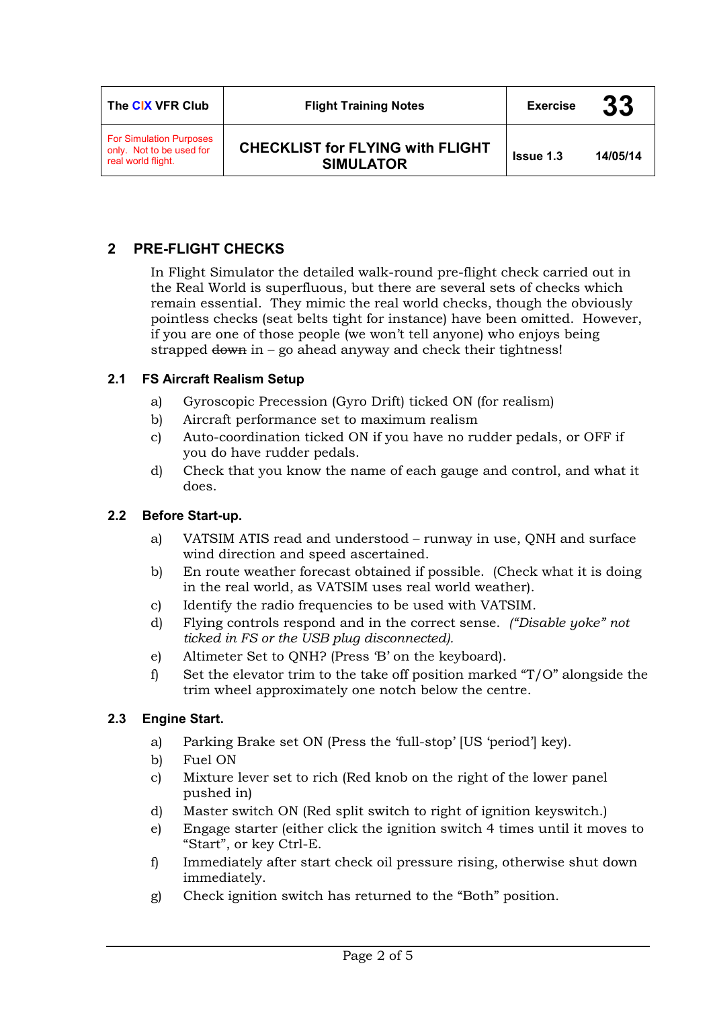| The CIX VFR Club                                                                 | <b>Flight Training Notes</b>                                | <b>Exercise</b>  | 33       |
|----------------------------------------------------------------------------------|-------------------------------------------------------------|------------------|----------|
| <b>For Simulation Purposes</b><br>only. Not to be used for<br>real world flight. | <b>CHECKLIST for FLYING with FLIGHT</b><br><b>SIMULATOR</b> | <b>Issue 1.3</b> | 14/05/14 |

# **2 PRE-FLIGHT CHECKS**

In Flight Simulator the detailed walk-round pre-flight check carried out in the Real World is superfluous, but there are several sets of checks which remain essential. They mimic the real world checks, though the obviously pointless checks (seat belts tight for instance) have been omitted. However, if you are one of those people (we won't tell anyone) who enjoys being strapped  $d$ <sub>o</sub> $m$  in – go ahead anyway and check their tightness!

#### **2.1 FS Aircraft Realism Setup**

- a) Gyroscopic Precession (Gyro Drift) ticked ON (for realism)
- b) Aircraft performance set to maximum realism
- c) Auto-coordination ticked ON if you have no rudder pedals, or OFF if you do have rudder pedals.
- d) Check that you know the name of each gauge and control, and what it does.

#### **2.2 Before Start-up.**

- a) VATSIM ATIS read and understood runway in use, QNH and surface wind direction and speed ascertained.
- b) En route weather forecast obtained if possible. (Check what it is doing in the real world, as VATSIM uses real world weather).
- c) Identify the radio frequencies to be used with VATSIM.
- d) Flying controls respond and in the correct sense. *("Disable yoke" not ticked in FS or the USB plug disconnected).*
- e) Altimeter Set to QNH? (Press 'B' on the keyboard).
- f) Set the elevator trim to the take off position marked "T/O" alongside the trim wheel approximately one notch below the centre.

#### **2.3 Engine Start.**

- a) Parking Brake set ON (Press the 'full-stop' [US 'period'] key).
- b) Fuel ON
- c) Mixture lever set to rich (Red knob on the right of the lower panel pushed in)
- d) Master switch ON (Red split switch to right of ignition keyswitch.)
- e) Engage starter (either click the ignition switch 4 times until it moves to "Start", or key Ctrl-E.
- f) Immediately after start check oil pressure rising, otherwise shut down immediately.
- g) Check ignition switch has returned to the "Both" position.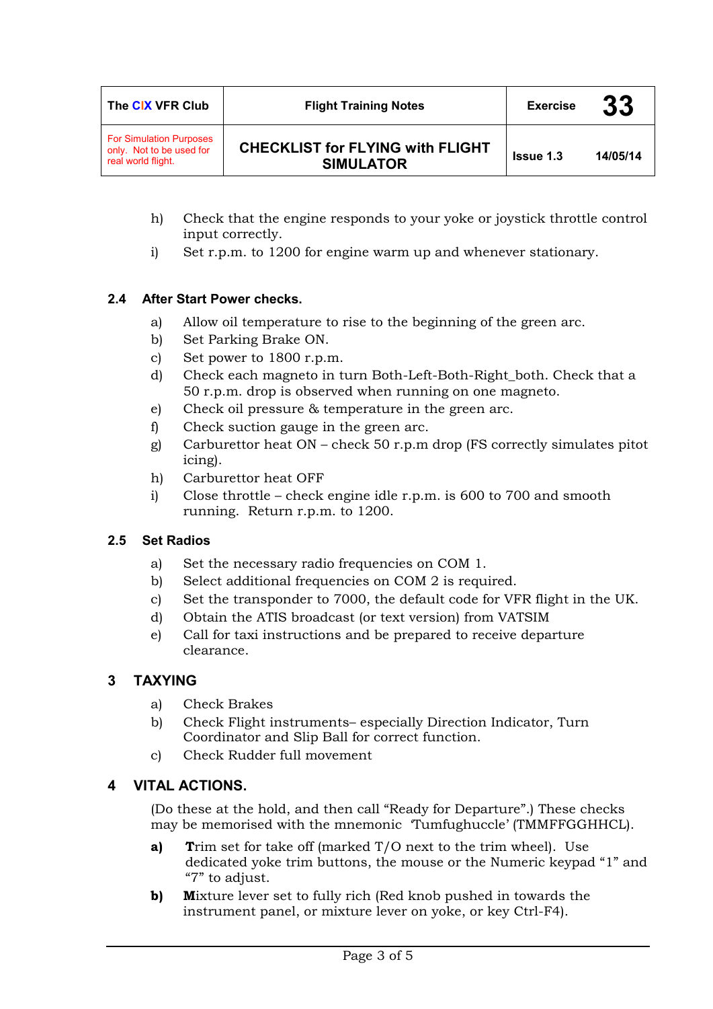| The CIX VFR Club                                                                 | <b>Flight Training Notes</b>                                | <b>Exercise</b>  | 33       |
|----------------------------------------------------------------------------------|-------------------------------------------------------------|------------------|----------|
| <b>For Simulation Purposes</b><br>only. Not to be used for<br>real world flight. | <b>CHECKLIST for FLYING with FLIGHT</b><br><b>SIMULATOR</b> | <b>Issue 1.3</b> | 14/05/14 |

- h) Check that the engine responds to your yoke or joystick throttle control input correctly.
- i) Set r.p.m. to 1200 for engine warm up and whenever stationary.

## **2.4 After Start Power checks.**

- a) Allow oil temperature to rise to the beginning of the green arc.
- b) Set Parking Brake ON.
- c) Set power to 1800 r.p.m.
- d) Check each magneto in turn Both-Left-Both-Right\_both. Check that a 50 r.p.m. drop is observed when running on one magneto.
- e) Check oil pressure & temperature in the green arc.
- f) Check suction gauge in the green arc.
- g) Carburettor heat ON check 50 r.p.m drop (FS correctly simulates pitot icing).
- h) Carburettor heat OFF
- i) Close throttle check engine idle r.p.m. is 600 to 700 and smooth running. Return r.p.m. to 1200.

#### **2.5 Set Radios**

- a) Set the necessary radio frequencies on COM 1.
- b) Select additional frequencies on COM 2 is required.
- c) Set the transponder to 7000, the default code for VFR flight in the UK.
- d) Obtain the ATIS broadcast (or text version) from VATSIM
- e) Call for taxi instructions and be prepared to receive departure clearance.

#### **3 TAXYING**

- a) Check Brakes
- b) Check Flight instruments– especially Direction Indicator, Turn Coordinator and Slip Ball for correct function.
- c) Check Rudder full movement

### **4 VITAL ACTIONS.**

(Do these at the hold, and then call "Ready for Departure".) These checks may be memorised with the mnemonic 'Tumfughuccle' (TMMFFGGHHCL).

- **a) T**rim set for take off (marked T/O next to the trim wheel). Use dedicated yoke trim buttons, the mouse or the Numeric keypad "1" and "7" to adjust.
- **b)** Mixture lever set to fully rich (Red knob pushed in towards the instrument panel, or mixture lever on yoke, or key Ctrl-F4).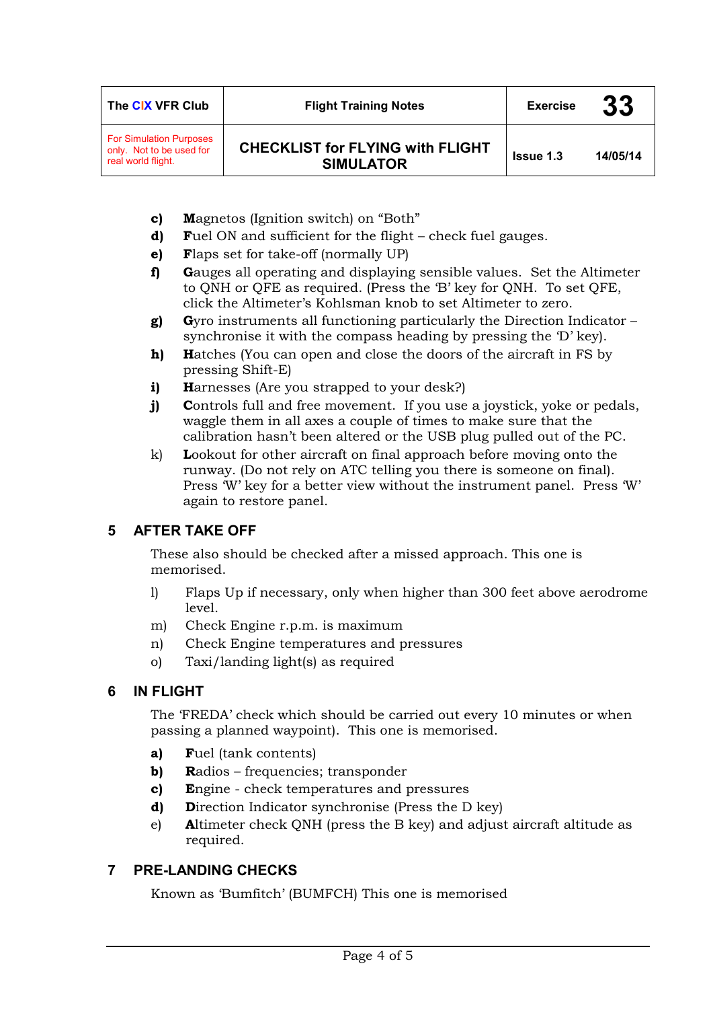| The CIX VFR Club                                                                 | <b>Flight Training Notes</b>                                | <b>Exercise</b>  | 33       |
|----------------------------------------------------------------------------------|-------------------------------------------------------------|------------------|----------|
| <b>For Simulation Purposes</b><br>only. Not to be used for<br>real world flight. | <b>CHECKLIST for FLYING with FLIGHT</b><br><b>SIMULATOR</b> | <b>Issue 1.3</b> | 14/05/14 |

- **c) M**agnetos (Ignition switch) on "Both"
- **d) F**uel ON and sufficient for the flight check fuel gauges.
- **e) F**laps set for take-off (normally UP)
- **f) G**auges all operating and displaying sensible values. Set the Altimeter to QNH or QFE as required. (Press the 'B' key for QNH. To set QFE, click the Altimeter's Kohlsman knob to set Altimeter to zero.
- **g) G**yro instruments all functioning particularly the Direction Indicator synchronise it with the compass heading by pressing the 'D' key).
- **h) H**atches (You can open and close the doors of the aircraft in FS by pressing Shift-E)
- **i)** Harnesses (Are you strapped to your desk?)
- **j) C**ontrols full and free movement. If you use a joystick, yoke or pedals, waggle them in all axes a couple of times to make sure that the calibration hasn't been altered or the USB plug pulled out of the PC.
- k) **L**ookout for other aircraft on final approach before moving onto the runway. (Do not rely on ATC telling you there is someone on final). Press 'W' key for a better view without the instrument panel. Press 'W' again to restore panel.

# **5 AFTER TAKE OFF**

These also should be checked after a missed approach. This one is memorised.

- l) Flaps Up if necessary, only when higher than 300 feet above aerodrome level.
- m) Check Engine r.p.m. is maximum
- n) Check Engine temperatures and pressures
- o) Taxi/landing light(s) as required

# **6 IN FLIGHT**

The 'FREDA' check which should be carried out every 10 minutes or when passing a planned waypoint). This one is memorised.

- **a) F**uel (tank contents)
- **b)** Radios frequencies; transponder
- **c) E**ngine check temperatures and pressures
- **d) D**irection Indicator synchronise (Press the D key)
- e) **A**ltimeter check QNH (press the B key) and adjust aircraft altitude as required.

# **7 PRE-LANDING CHECKS**

Known as 'Bumfitch' (BUMFCH) This one is memorised